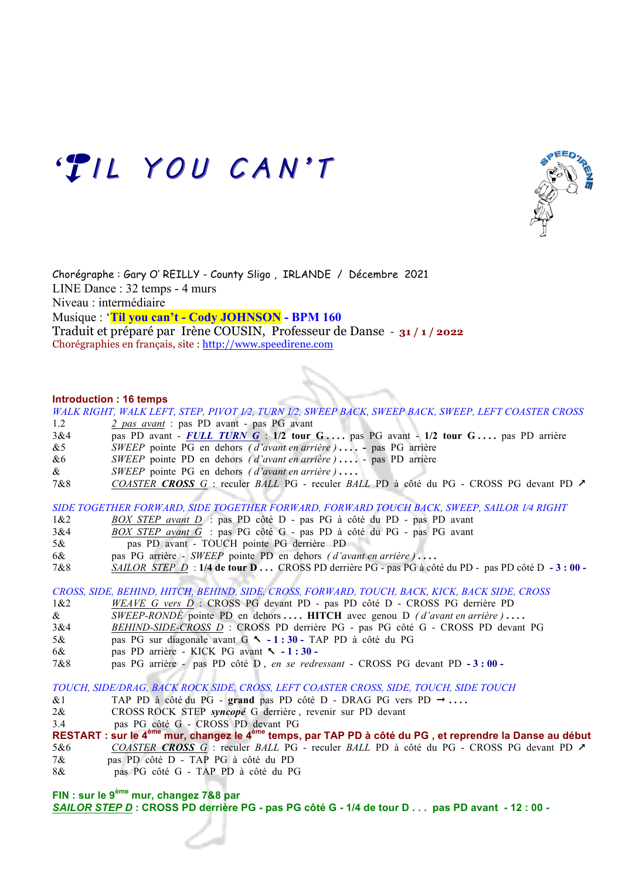

Chorégraphe : Gary O' REILLY - County Sligo , IRLANDE / Décembre 2021 LINE Dance : 32 temps - 4 murs Niveau : intermédiaire Musique : '**Til you can't - Cody JOHNSON - BPM 160**  Traduit et préparé par Irène COUSIN, Professeur de Danse - **31 / 1 / 2022**

Chorégraphies en français, site : http://www.speedirene.com

'TIL YOU CAN'T

## **Introduction : 16 temps**

*WALK RIGHT, WALK LEFT, STEP, PIVOT 1⁄2, TURN 1⁄2, SWEEP BACK, SWEEP BACK, SWEEP, LEFT COASTER CROSS*

- 1.2 *2 pas avant* : pas PD avant pas PG avant
- 3&4 pas PD avant *FULL TURN G* : **1/2 tour G . . . .** pas PG avant **1/2 tour G . . . .** pas PD arrière
- &5 *SWEEP* pointe PG en dehors *( d'avant en arrière )* **. . . .** pas PG arrière
- &6 *SWEEP* pointe PD en dehors *( d'avant en arrière )* **. . . .**  pas PD arrière
- & *SWEEP* pointe PG en dehors *( d'avant en arrière )* **. . . .**
- 7&8 *COASTER CROSS G* : reculer *BALL* PG reculer *BALL* PD à côté du PG CROSS PG devant PD &

*SIDE TOGETHER FORWARD, SIDE TOGETHER FORWARD, FORWARD TOUCH BACK, SWEEP, SAILOR 1⁄4 RIGHT*

- 1&2 *BOX STEP avant D* : pas PD côté D pas PG à côté du PD pas PD avant
- 3&4 *BOX STEP avant G* : pas PG côté G pas PD à côté du PG pas PG avant
- 5& pas PD avant TOUCH pointe PG derrière PD
- 6& pas PG arrière *SWEEP* pointe PD en dehors *( d'avant en arrière )* **. . . .**
- 7&8 *SAILOR STEP D* : **1/4 de tour D . . .** CROSS PD derrière PG pas PG à côté du PD pas PD côté D **- 3 : 00**

*CROSS, SIDE, BEHIND, HITCH, BEHIND, SIDE, CROSS, FORWARD, TOUCH, BACK, KICK, BACK SIDE, CROSS*

- 1&2 *WEAVE G vers D* : CROSS PG devant PD pas PD côté D CROSS PG derrière PD
- & *SWEEP-RONDÉ* pointe PD en dehors **. . . . HITCH** avec genou D *( d'avant en arrière )* **. . . .**
- 3&4 *BEHIND-SIDE-CROSS D* : CROSS PD derrière PG pas PG côté G CROSS PD devant PG
- 5& pas PG sur diagonale avant G % **- 1 : 30** TAP PD à côté du PG
- 6& pas PD arrière KICK PG avant % **- 1 : 30**
- 7&8 pas PG arrière pas PD côté D , *en se redressant* CROSS PG devant PD **- 3 : 00**

*TOUCH, SIDE/DRAG, BACK ROCK SIDE, CROSS, LEFT COASTER CROSS, SIDE, TOUCH, SIDE TOUCH*

- &1 TAP PD à côté du PG grand pas PD côté D DRAG PG vers PD  $\rightarrow \ldots$
- 2& CROSS ROCK STEP *syncopé* G derrière , revenir sur PD devant
- 3.4 pas PG côté G CROSS PD devant PG

**RESTART : sur le 4ème mur, changez le 4ème temps, par TAP PD à côté du PG , et reprendre la Danse au début** 5&6 *COASTER CROSS G* : reculer *BALL* PG - reculer *BALL* PD à côté du PG - CROSS PG devant PD &

- 7& pas PD côté D TAP PG à côté du PD
- 8& pas PG côté G TAP PD à côté du PG

**FIN : sur le 9ème mur, changez 7&8 par** 

*SAILOR STEP D* **: CROSS PD derrière PG - pas PG côté G - 1/4 de tour D . . . pas PD avant - 12 : 00 -**